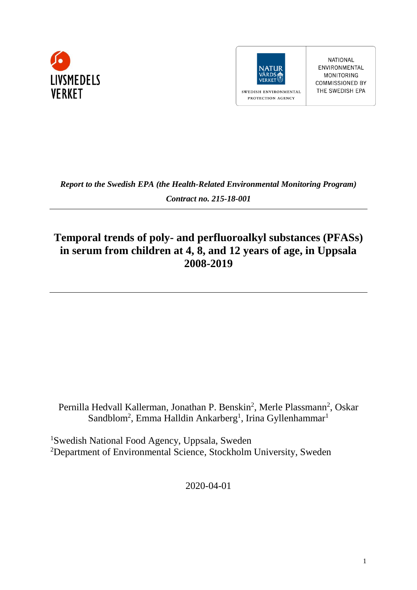



NATIONAL ENVIRONMENTAL MONITORING **COMMISSIONED BY** THE SWEDISH EPA

*Report to the Swedish EPA (the Health-Related Environmental Monitoring Program) Contract no. 215-18-001*

# **Temporal trends of poly- and perfluoroalkyl substances (PFASs) in serum from children at 4, 8, and 12 years of age, in Uppsala 2008-2019**

Pernilla Hedvall Kallerman, Jonathan P. Benskin<sup>2</sup>, Merle Plassmann<sup>2</sup>, Oskar Sandblom<sup>2</sup>, Emma Halldin Ankarberg<sup>1</sup>, Irina Gyllenhammar<sup>1</sup>

<sup>1</sup>Swedish National Food Agency, Uppsala, Sweden <sup>2</sup>Department of Environmental Science, Stockholm University, Sweden

2020-04-01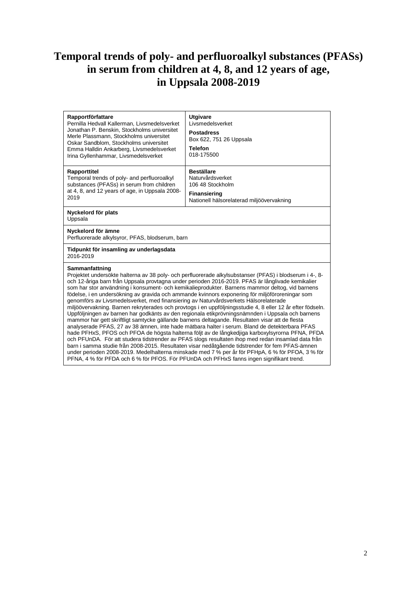# **Temporal trends of poly- and perfluoroalkyl substances (PFASs) in serum from children at 4, 8, and 12 years of age, in Uppsala 2008-2019**

| Rapportförfattare<br>Pernilla Hedvall Kallerman, Livsmedelsverket<br>Jonathan P. Benskin, Stockholms universitet<br>Merle Plassmann, Stockholms universitet<br>Oskar Sandblom, Stockholms universitet<br>Emma Halldin Ankarberg, Livsmedelsverket<br>Irina Gyllenhammar, Livsmedelsverket | <b>Utgivare</b><br>Livsmedelsverket<br><b>Postadress</b><br>Box 622, 751 26 Uppsala<br><b>Telefon</b><br>018-175500                                                                                                                                                                                                                                                                                                                                                                                                                                                                                                                                                                                                                                                                                                                                                                                                                                                                                                                                                                                                                                                                                                                                                                                                                                  |  |  |  |  |
|-------------------------------------------------------------------------------------------------------------------------------------------------------------------------------------------------------------------------------------------------------------------------------------------|------------------------------------------------------------------------------------------------------------------------------------------------------------------------------------------------------------------------------------------------------------------------------------------------------------------------------------------------------------------------------------------------------------------------------------------------------------------------------------------------------------------------------------------------------------------------------------------------------------------------------------------------------------------------------------------------------------------------------------------------------------------------------------------------------------------------------------------------------------------------------------------------------------------------------------------------------------------------------------------------------------------------------------------------------------------------------------------------------------------------------------------------------------------------------------------------------------------------------------------------------------------------------------------------------------------------------------------------------|--|--|--|--|
| Rapporttitel<br>Temporal trends of poly- and perfluoroalkyl<br>substances (PFASs) in serum from children<br>at 4, 8, and 12 years of age, in Uppsala 2008-<br>2019                                                                                                                        | <b>Beställare</b><br>Naturvårdsverket<br>106 48 Stockholm<br><b>Finansiering</b><br>Nationell hälsorelaterad miljöövervakning                                                                                                                                                                                                                                                                                                                                                                                                                                                                                                                                                                                                                                                                                                                                                                                                                                                                                                                                                                                                                                                                                                                                                                                                                        |  |  |  |  |
| Nyckelord för plats<br>Uppsala                                                                                                                                                                                                                                                            |                                                                                                                                                                                                                                                                                                                                                                                                                                                                                                                                                                                                                                                                                                                                                                                                                                                                                                                                                                                                                                                                                                                                                                                                                                                                                                                                                      |  |  |  |  |
| Nyckelord för ämne<br>Perfluorerade alkylsyror, PFAS, blodserum, barn                                                                                                                                                                                                                     |                                                                                                                                                                                                                                                                                                                                                                                                                                                                                                                                                                                                                                                                                                                                                                                                                                                                                                                                                                                                                                                                                                                                                                                                                                                                                                                                                      |  |  |  |  |
| Tidpunkt för insamling av underlagsdata<br>2016-2019                                                                                                                                                                                                                                      |                                                                                                                                                                                                                                                                                                                                                                                                                                                                                                                                                                                                                                                                                                                                                                                                                                                                                                                                                                                                                                                                                                                                                                                                                                                                                                                                                      |  |  |  |  |
| Sammanfattning<br>genomförs av Livsmedelsverket, med finansiering av Naturvårdsverkets Hälsorelaterade                                                                                                                                                                                    | Projektet undersökte halterna av 38 poly- och perfluorerade alkylsubstanser (PFAS) i blodserum i 4-, 8-<br>och 12-åriga barn från Uppsala provtagna under perioden 2016-2019. PFAS är långlivade kemikalier<br>som har stor användning i konsument- och kemikalieprodukter. Barnens mammor deltog, vid barnens<br>födelse, i en undersökning av gravida och ammande kvinnors exponering för miljöföroreningar som<br>miljöövervakning. Barnen rekryterades och provtogs i en uppföljningsstudie 4, 8 eller 12 år efter födseln.<br>Uppföljningen av barnen har godkänts av den regionala etikprövningsnämnden i Uppsala och barnens<br>mammor har gett skriftligt samtycke gällande barnens deltagande. Resultaten visar att de flesta<br>analyserade PFAS, 27 av 38 ämnen, inte hade mätbara halter i serum. Bland de detekterbara PFAS<br>hade PFHxS, PFOS och PFOA de högsta halterna följt av de långkedjiga karboxylsyrorna PFNA, PFDA<br>och PFUnDA. För att studera tidstrender av PFAS slogs resultaten ihop med redan insamlad data från<br>barn i samma studie från 2008-2015. Resultaten visar nedåtgående tidstrender för fem PFAS-ämnen<br>under perioden 2008-2019. Medelhalterna minskade med 7 % per år för PFHpA, 6 % för PFOA, 3 % för<br>PFNA, 4 % för PFDA och 6 % för PFOS. För PFUnDA och PFHxS fanns ingen signifikant trend. |  |  |  |  |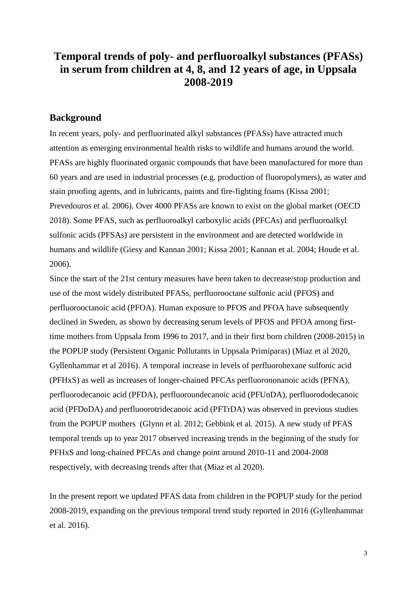## **Temporal trends of poly- and perfluoroalkyl substances (PFASs) in serum from children at 4, 8, and 12 years of age, in Uppsala 2008-2019**

### **Background**

In recent years, poly- and perfluorinated alkyl substances (PFASs) have attracted much attention as emerging environmental health risks to wildlife and humans around the world. PFASs are highly fluorinated organic compounds that have been manufactured for more than 60 years and are used in industrial processes (e.g. production of fluoropolymers), as water and stain proofing agents, and in lubricants, paints and fire-fighting foams (Kissa 2001; Prevedouros et al. 2006). Over 4000 PFASs are known to exist on the global market (OECD 2018). Some PFAS, such as perfluoroalkyl carboxylic acids (PFCAs) and perfluoroalkyl sulfonic acids (PFSAs) are persistent in the environment and are detected worldwide in humans and wildlife (Giesy and Kannan 2001; Kissa 2001; Kannan et al. 2004; Houde et al. 2006).

Since the start of the 21st century measures have been taken to decrease/stop production and use of the most widely distributed PFASs, perfluorooctane sulfonic acid (PFOS) and perfluorooctanoic acid (PFOA). Human exposure to PFOS and PFOA have subsequently declined in Sweden, as shown by decreasing serum levels of PFOS and PFOA among firsttime mothers from Uppsala from 1996 to 2017, and in their first born children (2008-2015) in the POPUP study (Persistent Organic Pollutants in Uppsala Primiparas) (Miaz et al 2020, Gyllenhammar et al 2016). A temporal increase in levels of perfluorohexane sulfonic acid (PFHxS) as well as increases of longer-chained PFCAs perfluorononanoic acids (PFNA), perfluorodecanoic acid (PFDA), perfluoroundecanoic acid (PFUnDA), perfluorododecanoic acid (PFDoDA) and perfluoorotridecanoic acid (PFTrDA) was observed in previous studies from the POPUP mothers (Glynn et al. 2012; Gebbink et al. 2015). A new study of PFAS temporal trends up to year 2017 observed increasing trends in the beginning of the study for PFHxS and long-chained PFCAs and change point around 2010-11 and 2004-2008 respectively, with decreasing trends after that (Miaz et al 2020).

In the present report we updated PFAS data from children in the POPUP study for the period 2008-2019, expanding on the previous temporal trend study reported in 2016 (Gyllenhammar et al. 2016).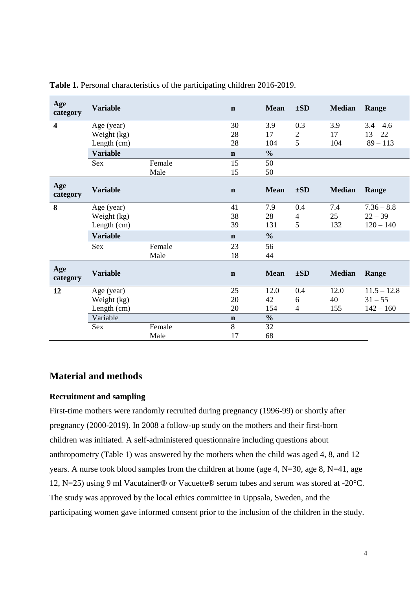| Age<br>category         | <b>Variable</b> |        | $\mathbf n$ | <b>Mean</b>   | $\pm SD$       | <b>Median</b> | Range         |
|-------------------------|-----------------|--------|-------------|---------------|----------------|---------------|---------------|
| $\overline{\mathbf{4}}$ | Age (year)      |        | 30          | 3.9           | 0.3            | 3.9           | $3.4 - 4.6$   |
|                         | Weight (kg)     |        | 28          | 17            | $\overline{2}$ | 17            | $13 - 22$     |
|                         | Length (cm)     |        | 28          | 104           | 5              | 104           | $89 - 113$    |
|                         | <b>Variable</b> |        | $\mathbf n$ | $\frac{0}{0}$ |                |               |               |
|                         | Sex             | Female | 15          | 50            |                |               |               |
|                         |                 | Male   | 15          | 50            |                |               |               |
| Age<br>category         | <b>Variable</b> |        | $\mathbf n$ | <b>Mean</b>   | $\pm SD$       | <b>Median</b> | Range         |
| 8                       | Age (year)      |        | 41          | 7.9           | 0.4            | 7.4           | $7.36 - 8.8$  |
|                         | Weight (kg)     |        | 38          | 28            | $\overline{4}$ | 25            | $22 - 39$     |
|                         | Length (cm)     |        | 39          | 131           | 5              | 132           | $120 - 140$   |
|                         | <b>Variable</b> |        | $\mathbf n$ | $\frac{0}{0}$ |                |               |               |
|                         | Sex             | Female | 23          | 56            |                |               |               |
|                         |                 | Male   | 18          | 44            |                |               |               |
| Age<br>category         | <b>Variable</b> |        | $\mathbf n$ | <b>Mean</b>   | $\pm SD$       | <b>Median</b> | Range         |
| 12                      | Age (year)      |        | 25          | 12.0          | 0.4            | 12.0          | $11.5 - 12.8$ |
|                         | Weight (kg)     |        | 20          | 42            | 6              | 40            | $31 - 55$     |
|                         | Length (cm)     |        | 20          | 154           | $\overline{4}$ | 155           | $142 - 160$   |
|                         | Variable        |        | $\mathbf n$ | $\frac{0}{0}$ |                |               |               |
|                         | <b>Sex</b>      | Female | 8           | 32            |                |               |               |
|                         |                 | Male   | 17          | 68            |                |               |               |

**Table 1.** Personal characteristics of the participating children 2016-2019.

## **Material and methods**

### **Recruitment and sampling**

First-time mothers were randomly recruited during pregnancy (1996-99) or shortly after pregnancy (2000-2019). In 2008 a follow-up study on the mothers and their first-born children was initiated. A self-administered questionnaire including questions about anthropometry (Table 1) was answered by the mothers when the child was aged 4, 8, and 12 years. A nurse took blood samples from the children at home (age 4, N=30, age 8, N=41, age 12, N=25) using 9 ml Vacutainer® or Vacuette® serum tubes and serum was stored at -20°C. The study was approved by the local ethics committee in Uppsala, Sweden, and the participating women gave informed consent prior to the inclusion of the children in the study.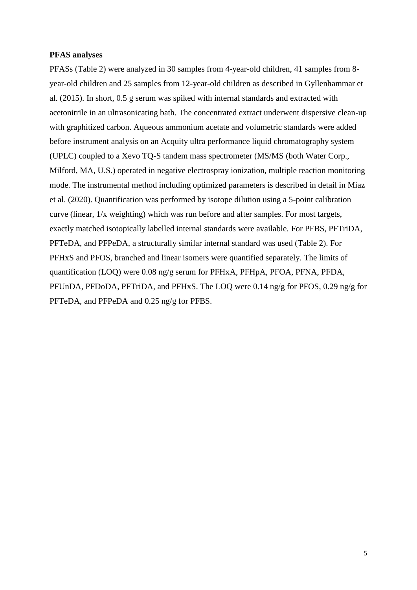#### **PFAS analyses**

PFASs (Table 2) were analyzed in 30 samples from 4-year-old children, 41 samples from 8 year-old children and 25 samples from 12-year-old children as described in Gyllenhammar et al. (2015). In short, 0.5 g serum was spiked with internal standards and extracted with acetonitrile in an ultrasonicating bath. The concentrated extract underwent dispersive clean-up with graphitized carbon. Aqueous ammonium acetate and volumetric standards were added before instrument analysis on an Acquity ultra performance liquid chromatography system (UPLC) coupled to a Xevo TQ-S tandem mass spectrometer (MS/MS (both Water Corp., Milford, MA, U.S.) operated in negative electrospray ionization, multiple reaction monitoring mode. The instrumental method including optimized parameters is described in detail in Miaz et al. (2020). Quantification was performed by isotope dilution using a 5-point calibration curve (linear, 1/x weighting) which was run before and after samples. For most targets, exactly matched isotopically labelled internal standards were available. For PFBS, PFTriDA, PFTeDA, and PFPeDA, a structurally similar internal standard was used (Table 2). For PFHxS and PFOS, branched and linear isomers were quantified separately. The limits of quantification (LOQ) were 0.08 ng/g serum for PFHxA, PFHpA, PFOA, PFNA, PFDA, PFUnDA, PFDoDA, PFTriDA, and PFHxS. The LOQ were 0.14 ng/g for PFOS, 0.29 ng/g for PFTeDA, and PFPeDA and 0.25 ng/g for PFBS.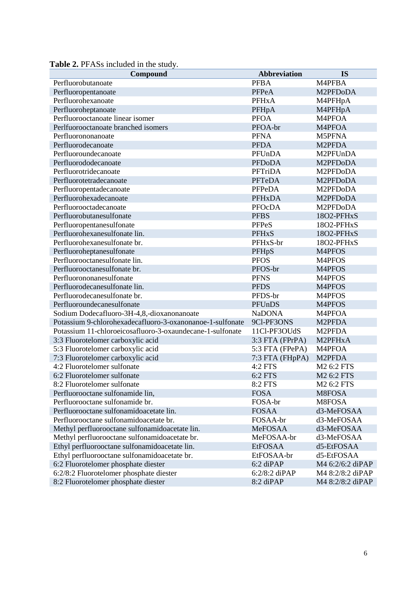| Compound                                                  | <b>Abbreviation</b> | <b>IS</b>           |
|-----------------------------------------------------------|---------------------|---------------------|
| Perfluorobutanoate                                        | <b>PFBA</b>         | M4PFBA              |
| Perfluoropentanoate                                       | PFPeA               | M2PFDoDA            |
| Perfluorohexanoate                                        | <b>PFHxA</b>        | M4PFHpA             |
| Perfluoroheptanoate                                       | PFHpA               | M4PFHpA             |
| Perfluorooctanoate linear isomer                          | <b>PFOA</b>         | M4PFOA              |
| Perlfuorooctanoate branched isomers                       | PFOA-br             | M4PFOA              |
| Perfluorononanoate                                        | <b>PFNA</b>         | M5PFNA              |
| Perfluorodecanoate                                        | <b>PFDA</b>         | M <sub>2</sub> PFDA |
| Perfluoroundecanoate                                      | PFUnDA              | M2PFUnDA            |
| Perfluorododecanoate                                      | <b>PFDoDA</b>       | M2PFDoDA            |
| Perfluorotridecanoate                                     | PFTriDA             | M2PFDoDA            |
| Perfluorotetradecanoate                                   | PFTeDA              | M2PFDoDA            |
| Perfluoropentadecanoate                                   | PFPeDA              | M2PFDoDA            |
| Perfluorohexadecanoate                                    | <b>PFHxDA</b>       | M2PFDoDA            |
| Perfluorooctadecanoate                                    | PFOcDA              | M2PFDoDA            |
| Perfluorobutanesulfonate                                  | <b>PFBS</b>         | 18O2-PFHxS          |
| Perfluoropentanesulfonate                                 | PFPeS               | 18O2-PFHxS          |
| Perfluorohexanesulfonate lin.                             | <b>PFHxS</b>        | 18O2-PFHxS          |
| Perfluorohexanesulfonate br.                              | PFHxS-br            | 18O2-PFHxS          |
| Perfluoroheptanesulfonate                                 | PFHpS               | M4PFOS              |
| Perfluorooctanesulfonate lin.                             | <b>PFOS</b>         | M4PFOS              |
| Perfluorooctanesulfonate br.                              | PFOS-br             | M4PFOS              |
| Perfluorononanesulfonate                                  | <b>PFNS</b>         | M4PFOS              |
| Perfluorodecanesulfonate lin.                             | <b>PFDS</b>         | M4PFOS              |
| Perfluorodecanesulfonate br.                              | PFDS-br             | M4PFOS              |
| Perfluoroundecanesulfonate                                | PFUnDS              | M4PFOS              |
| Sodium Dodecafluoro-3H-4,8,-dioxanonanoate                | <b>NaDONA</b>       | M4PFOA              |
| Potassium 9-chlorohexadecafluoro-3-oxanonanoe-1-sulfonate | 9Cl-PF3ONS          | M <sub>2</sub> PFDA |
| Potassium 11-chloroeicosafluoro-3-oxaundecane-1-sulfonate | 11Cl-PF3OUdS        | M <sub>2</sub> PFDA |
| 3:3 Fluorotelomer carboxylic acid                         | 3:3 FTA (FPrPA)     | M2PFHxA             |
| 5:3 Fluorotelomer carboxylic acid                         | 5:3 FTA (FPePA)     | M4PFOA              |
| 7:3 Fluorotelomer carboxylic acid                         | 7:3 FTA (FHpPA)     | M <sub>2</sub> PFDA |
| 4:2 Fluorotelomer sulfonate                               | 4:2 FTS             | M2 6:2 FTS          |
| 6:2 Fluorotelomer sulfonate                               | 6:2 FTS             | M2 6:2 FTS          |
| 8:2 Fluorotelomer sulfonate                               | 8:2 FTS             | M2 6:2 FTS          |
| Perfluorooctane sulfonamide lin,                          | <b>FOSA</b>         | M8FOSA              |
| Perfluorooctane sulfonamide br.                           | FOSA-br             | M8FOSA              |
| Perfluorooctane sulfonamidoacetate lin.                   | <b>FOSAA</b>        | d3-MeFOSAA          |
| Perfluorooctane sulfonamidoacetate br.                    | FOSAA-br            | d3-MeFOSAA          |
| Methyl perfluorooctane sulfonamidoacetate lin.            | MeFOSAA             | d3-MeFOSAA          |
| Methyl perfluorooctane sulfonamidoacetate br.             | MeFOSAA-br          | d3-MeFOSAA          |
| Ethyl perfluorooctane sulfonamidoacetate lin.             | <b>EtFOSAA</b>      | d5-EtFOSAA          |
| Ethyl perfluorooctane sulfonamidoacetate br.              | EtFOSAA-br          | d5-EtFOSAA          |
| 6:2 Fluorotelomer phosphate diester                       | 6:2 diPAP           | M4 6:2/6:2 diPAP    |
| 6:2/8:2 Fluorotelomer phosphate diester                   | $6:2/8:2$ diPAP     | M4 8:2/8:2 diPAP    |
| 8:2 Fluorotelomer phosphate diester                       | 8:2 diPAP           | M4 8:2/8:2 diPAP    |

**Table 2.** PFASs included in the study.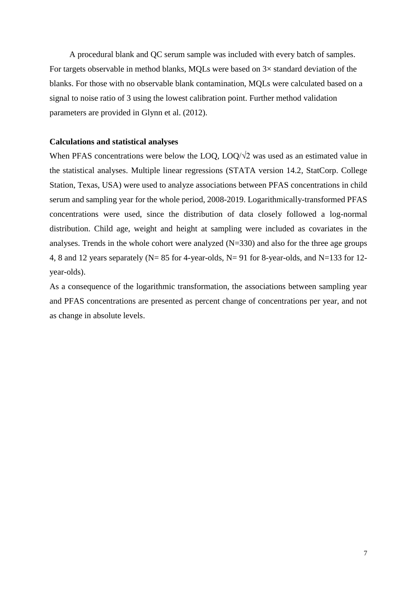A procedural blank and QC serum sample was included with every batch of samples. For targets observable in method blanks, MQLs were based on 3× standard deviation of the blanks. For those with no observable blank contamination, MQLs were calculated based on a signal to noise ratio of 3 using the lowest calibration point. Further method validation parameters are provided in Glynn et al. (2012).

#### **Calculations and statistical analyses**

When PFAS concentrations were below the LOQ, LOQ/ $\sqrt{2}$  was used as an estimated value in the statistical analyses. Multiple linear regressions (STATA version 14.2, StatCorp. College Station, Texas, USA) were used to analyze associations between PFAS concentrations in child serum and sampling year for the whole period, 2008-2019. Logarithmically-transformed PFAS concentrations were used, since the distribution of data closely followed a log-normal distribution. Child age, weight and height at sampling were included as covariates in the analyses. Trends in the whole cohort were analyzed (N=330) and also for the three age groups 4, 8 and 12 years separately (N= 85 for 4-year-olds, N= 91 for 8-year-olds, and N=133 for 12 year-olds).

As a consequence of the logarithmic transformation, the associations between sampling year and PFAS concentrations are presented as percent change of concentrations per year, and not as change in absolute levels.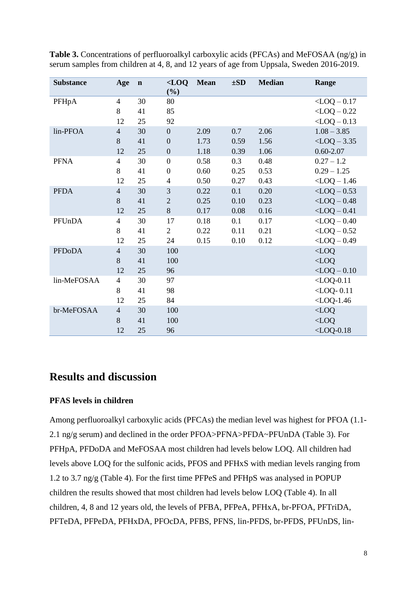| <b>Substance</b> | Age            | $\mathbf n$ | $<$ LOQ<br>(%)           | <b>Mean</b> | $\pm SD$ | <b>Median</b> | Range            |
|------------------|----------------|-------------|--------------------------|-------------|----------|---------------|------------------|
| PFHpA            | $\overline{4}$ | 30          | 80                       |             |          |               | $<$ LOQ $-$ 0.17 |
|                  | 8              | 41          | 85                       |             |          |               | $<$ LOQ $-$ 0.22 |
|                  | 12             | 25          | 92                       |             |          |               | $<$ LOQ $-$ 0.13 |
| lin-PFOA         | $\overline{4}$ | 30          | $\boldsymbol{0}$         | 2.09        | 0.7      | 2.06          | $1.08 - 3.85$    |
|                  | $8\,$          | 41          | $\boldsymbol{0}$         | 1.73        | 0.59     | 1.56          | $<$ LOQ $-3.35$  |
|                  | 12             | 25          | $\boldsymbol{0}$         | 1.18        | 0.39     | 1.06          | $0.60 - 2.07$    |
| <b>PFNA</b>      | $\overline{4}$ | 30          | $\boldsymbol{0}$         | 0.58        | 0.3      | 0.48          | $0.27 - 1.2$     |
|                  | 8              | 41          | $\boldsymbol{0}$         | 0.60        | 0.25     | 0.53          | $0.29 - 1.25$    |
|                  | 12             | 25          | $\overline{\mathcal{A}}$ | 0.50        | 0.27     | 0.43          | $<$ LOQ $-1.46$  |
| <b>PFDA</b>      | $\overline{4}$ | 30          | $\mathfrak{Z}$           | 0.22        | 0.1      | 0.20          | $<$ LOQ $-$ 0.53 |
|                  | $\,8\,$        | 41          | $\sqrt{2}$               | 0.25        | 0.10     | 0.23          | $<$ LOQ $-$ 0.48 |
|                  | 12             | 25          | 8                        | 0.17        | 0.08     | 0.16          | $<$ LOQ $-$ 0.41 |
| PFUnDA           | $\overline{4}$ | 30          | 17                       | 0.18        | 0.1      | 0.17          | $<$ LOQ $-$ 0.40 |
|                  | 8              | 41          | $\overline{2}$           | 0.22        | 0.11     | 0.21          | $<$ LOQ $-$ 0.52 |
|                  | 12             | 25          | 24                       | 0.15        | 0.10     | 0.12          | $<$ LOQ $-$ 0.49 |
| <b>PFDoDA</b>    | $\overline{4}$ | 30          | 100                      |             |          |               | $<$ LOQ          |
|                  | $8\,$          | 41          | 100                      |             |          |               | $<$ LOQ          |
|                  | 12             | 25          | 96                       |             |          |               | $<$ LOQ $-$ 0.10 |
| lin-MeFOSAA      | $\overline{4}$ | 30          | 97                       |             |          |               | $<$ LOQ-0.11     |
|                  | 8              | 41          | 98                       |             |          |               | $<$ LOQ-0.11     |
|                  | 12             | 25          | 84                       |             |          |               | $<$ LOQ-1.46     |
| br-MeFOSAA       | $\overline{4}$ | 30          | 100                      |             |          |               | $<$ LOQ          |
|                  | 8              | 41          | 100                      |             |          |               | $<$ LOQ          |
|                  | 12             | 25          | 96                       |             |          |               | $<$ LOQ-0.18     |

**Table 3.** Concentrations of perfluoroalkyl carboxylic acids (PFCAs) and MeFOSAA (ng/g) in serum samples from children at 4, 8, and 12 years of age from Uppsala, Sweden 2016-2019.

## **Results and discussion**

### **PFAS levels in children**

Among perfluoroalkyl carboxylic acids (PFCAs) the median level was highest for PFOA (1.1- 2.1 ng/g serum) and declined in the order PFOA>PFNA>PFDA~PFUnDA (Table 3). For PFHpA, PFDoDA and MeFOSAA most children had levels below LOQ. All children had levels above LOQ for the sulfonic acids, PFOS and PFHxS with median levels ranging from 1.2 to 3.7 ng/g (Table 4). For the first time PFPeS and PFHpS was analysed in POPUP children the results showed that most children had levels below LOQ (Table 4). In all children, 4, 8 and 12 years old, the levels of PFBA, PFPeA, PFHxA, br-PFOA, PFTriDA, PFTeDA, PFPeDA, PFHxDA, PFOcDA, PFBS, PFNS, lin-PFDS, br-PFDS, PFUnDS, lin-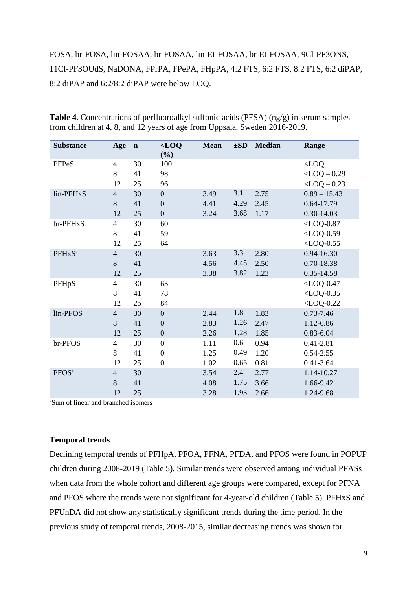## FOSA, br-FOSA, lin-FOSAA, br-FOSAA, lin-Et-FOSAA, br-Et-FOSAA, 9Cl-PF3ONS, 11Cl-PF3OUdS, NaDONA, FPrPA, FPePA, FHpPA, 4:2 FTS, 6:2 FTS, 8:2 FTS, 6:2 diPAP, 8:2 diPAP and 6:2/8:2 diPAP were below LOQ.

| <b>Substance</b>   | Age                      | $\mathbf n$ | $<$ LOQ<br>$(\%)$ | <b>Mean</b> | $\pm SD$ | <b>Median</b> | Range            |
|--------------------|--------------------------|-------------|-------------------|-------------|----------|---------------|------------------|
| PFPeS              | $\overline{4}$           | 30          | 100               |             |          |               | $<$ LOQ          |
|                    | 8                        | 41          | 98                |             |          |               | $<$ LOQ $-$ 0.29 |
|                    | 12                       | 25          | 96                |             |          |               | $<$ LOQ $-$ 0.23 |
| lin-PFHxS          | $\overline{4}$           | 30          | $\boldsymbol{0}$  | 3.49        | 3.1      | 2.75          | $0.89 - 15.43$   |
|                    | 8                        | 41          | $\boldsymbol{0}$  | 4.41        | 4.29     | 2.45          | 0.64-17.79       |
|                    | 12                       | 25          | $\boldsymbol{0}$  | 3.24        | 3.68     | 1.17          | 0.30-14.03       |
| br-PFHxS           | $\overline{4}$           | 30          | 60                |             |          |               | $<$ LOQ-0.87     |
|                    | 8                        | 41          | 59                |             |          |               | $<$ LOQ-0.59     |
|                    | 12                       | 25          | 64                |             |          |               | $<$ LOQ-0.55     |
| PFHxS <sup>a</sup> | $\overline{4}$           | 30          |                   | 3.63        | 3.3      | 2.80          | 0.94-16.30       |
|                    | 8                        | 41          |                   | 4.56        | 4.45     | 2.50          | 0.70-18.38       |
|                    | 12                       | 25          |                   | 3.38        | 3.82     | 1.23          | 0.35-14.58       |
| PFHpS              | $\overline{\mathcal{A}}$ | 30          | 63                |             |          |               | $<$ LOQ-0.47     |
|                    | 8                        | 41          | 78                |             |          |               | $<$ LOQ-0.35     |
|                    | 12                       | 25          | 84                |             |          |               | $<$ LOQ-0.22     |
| lin-PFOS           | $\overline{4}$           | 30          | $\boldsymbol{0}$  | 2.44        | 1.8      | 1.83          | $0.73 - 7.46$    |
|                    | 8                        | 41          | $\overline{0}$    | 2.83        | 1.26     | 2.47          | 1.12-6.86        |
|                    | 12                       | 25          | $\boldsymbol{0}$  | 2.26        | 1.28     | 1.85          | 0.83-6.04        |
| br-PFOS            | $\overline{4}$           | 30          | $\boldsymbol{0}$  | 1.11        | 0.6      | 0.94          | $0.41 - 2.81$    |
|                    | 8                        | 41          | $\boldsymbol{0}$  | 1.25        | 0.49     | 1.20          | $0.54 - 2.55$    |
|                    | 12                       | 25          | $\boldsymbol{0}$  | 1.02        | 0.65     | 0.81          | $0.41 - 3.64$    |
| PFOS <sup>a</sup>  | $\overline{4}$           | 30          |                   | 3.54        | 2.4      | 2.77          | 1.14-10.27       |
|                    | 8                        | 41          |                   | 4.08        | 1.75     | 3.66          | 1.66-9.42        |
|                    | 12                       | 25          |                   | 3.28        | 1.93     | 2.66          | 1.24-9.68        |

**Table 4.** Concentrations of perfluoroalkyl sulfonic acids (PFSA) (ng/g) in serum samples from children at 4, 8, and 12 years of age from Uppsala, Sweden 2016-2019.

<sup>a</sup>Sum of linear and branched isomers

### **Temporal trends**

Declining temporal trends of PFHpA, PFOA, PFNA, PFDA, and PFOS were found in POPUP children during 2008-2019 (Table 5). Similar trends were observed among individual PFASs when data from the whole cohort and different age groups were compared, except for PFNA and PFOS where the trends were not significant for 4-year-old children (Table 5). PFHxS and PFUnDA did not show any statistically significant trends during the time period. In the previous study of temporal trends, 2008-2015, similar decreasing trends was shown for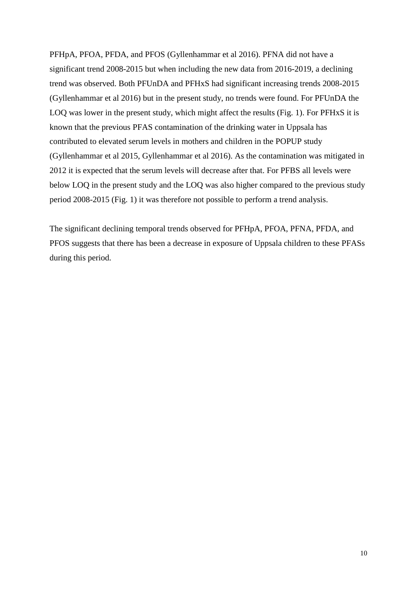PFHpA, PFOA, PFDA, and PFOS (Gyllenhammar et al 2016). PFNA did not have a significant trend 2008-2015 but when including the new data from 2016-2019, a declining trend was observed. Both PFUnDA and PFHxS had significant increasing trends 2008-2015 (Gyllenhammar et al 2016) but in the present study, no trends were found. For PFUnDA the LOQ was lower in the present study, which might affect the results (Fig. 1). For PFHxS it is known that the previous PFAS contamination of the drinking water in Uppsala has contributed to elevated serum levels in mothers and children in the POPUP study (Gyllenhammar et al 2015, Gyllenhammar et al 2016). As the contamination was mitigated in 2012 it is expected that the serum levels will decrease after that. For PFBS all levels were below LOQ in the present study and the LOQ was also higher compared to the previous study period 2008-2015 (Fig. 1) it was therefore not possible to perform a trend analysis.

The significant declining temporal trends observed for PFHpA, PFOA, PFNA, PFDA, and PFOS suggests that there has been a decrease in exposure of Uppsala children to these PFASs during this period.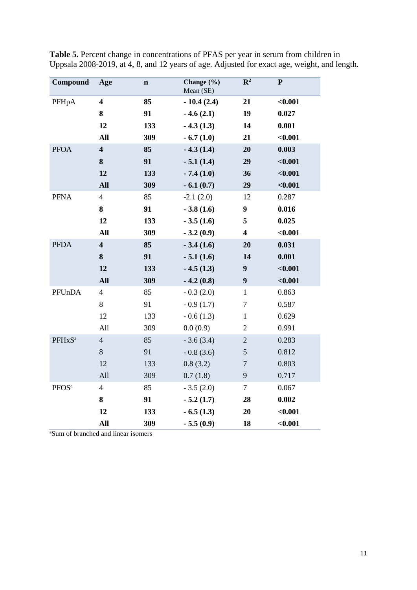| Compound           | Age                     | $\mathbf n$ | Change (%)<br>Mean (SE) | $\mathbb{R}^2$          | ${\bf P}$ |
|--------------------|-------------------------|-------------|-------------------------|-------------------------|-----------|
| PFHpA              | $\overline{\mathbf{4}}$ | 85          | $-10.4(2.4)$            | 21                      | $0.001$   |
|                    | 8                       | 91          | $-4.6(2.1)$             | 19                      | 0.027     |
|                    | 12                      | 133         | $-4.3(1.3)$             | 14                      | 0.001     |
|                    | <b>All</b>              | 309         | $-6.7(1.0)$             | 21                      | $0.001$   |
| <b>PFOA</b>        | $\overline{\mathbf{4}}$ | 85          | $-4.3(1.4)$             | 20                      | 0.003     |
|                    | 8                       | 91          | $-5.1(1.4)$             | 29                      | < 0.001   |
|                    | 12                      | 133         | $-7.4(1.0)$             | 36                      | < 0.001   |
|                    | <b>All</b>              | 309         | $-6.1(0.7)$             | 29                      | $0.001$   |
| <b>PFNA</b>        | $\overline{4}$          | 85          | $-2.1(2.0)$             | 12                      | 0.287     |
|                    | 8                       | 91          | $-3.8(1.6)$             | 9                       | 0.016     |
|                    | 12                      | 133         | $-3.5(1.6)$             | 5                       | 0.025     |
|                    | <b>All</b>              | 309         | $-3.2(0.9)$             | $\overline{\mathbf{4}}$ | $0.001$   |
| <b>PFDA</b>        | $\overline{\mathbf{4}}$ | 85          | $-3.4(1.6)$             | 20                      | 0.031     |
|                    | ${\bf 8}$               | 91          | $-5.1(1.6)$             | 14                      | 0.001     |
|                    | 12                      | 133         | $-4.5(1.3)$             | $\boldsymbol{9}$        | $0.001$   |
|                    | <b>All</b>              | 309         | $-4.2(0.8)$             | $\boldsymbol{9}$        | $0.001$   |
| PFUnDA             | $\overline{\mathbf{4}}$ | 85          | $-0.3(2.0)$             | $\mathbf{1}$            | 0.863     |
|                    | $8\,$                   | 91          | $-0.9(1.7)$             | $\boldsymbol{7}$        | 0.587     |
|                    | 12                      | 133         | $-0.6(1.3)$             | $\mathbf{1}$            | 0.629     |
|                    | All                     | 309         | 0.0(0.9)                | $\overline{c}$          | 0.991     |
| PFHxS <sup>a</sup> | $\overline{4}$          | 85          | $-3.6(3.4)$             | $\overline{c}$          | 0.283     |
|                    | 8                       | 91          | $-0.8(3.6)$             | 5                       | 0.812     |
|                    | 12                      | 133         | 0.8(3.2)                | $\overline{7}$          | 0.803     |
|                    | All                     | 309         | 0.7(1.8)                | 9                       | 0.717     |
| PFOS <sup>a</sup>  | $\overline{\mathbf{4}}$ | 85          | $-3.5(2.0)$             | $\boldsymbol{7}$        | 0.067     |
|                    | 8                       | 91          | $-5.2(1.7)$             | 28                      | 0.002     |
|                    | 12                      | 133         | $-6.5(1.3)$             | 20                      | $0.001$   |
|                    | All                     | 309         | $-5.5(0.9)$             | 18                      | $0.001$   |

**Table 5.** Percent change in concentrations of PFAS per year in serum from children in Uppsala 2008-2019, at 4, 8, and 12 years of age. Adjusted for exact age, weight, and length.

<sup>a</sup>Sum of branched and linear isomers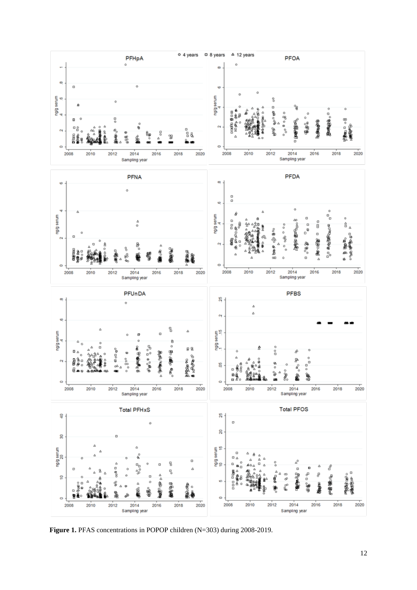

**Figure 1.** PFAS concentrations in POPOP children (N=303) during 2008-2019.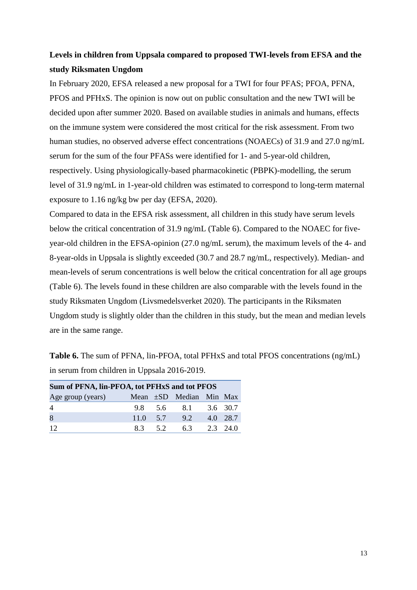## **Levels in children from Uppsala compared to proposed TWI-levels from EFSA and the study Riksmaten Ungdom**

In February 2020, EFSA released a new proposal for a TWI for four PFAS; PFOA, PFNA, PFOS and PFHxS. The opinion is now out on public consultation and the new TWI will be decided upon after summer 2020. Based on available studies in animals and humans, effects on the immune system were considered the most critical for the risk assessment. From two human studies, no observed adverse effect concentrations (NOAECs) of 31.9 and 27.0 ng/mL serum for the sum of the four PFASs were identified for 1- and 5-year-old children, respectively. Using physiologically-based pharmacokinetic (PBPK)-modelling, the serum level of 31.9 ng/mL in 1-year-old children was estimated to correspond to long-term maternal exposure to 1.16 ng/kg bw per day (EFSA, 2020).

Compared to data in the EFSA risk assessment, all children in this study have serum levels below the critical concentration of 31.9 ng/mL (Table 6). Compared to the NOAEC for fiveyear-old children in the EFSA-opinion (27.0 ng/mL serum), the maximum levels of the 4- and 8-year-olds in Uppsala is slightly exceeded (30.7 and 28.7 ng/mL, respectively). Median- and mean-levels of serum concentrations is well below the critical concentration for all age groups (Table 6). The levels found in these children are also comparable with the levels found in the study Riksmaten Ungdom (Livsmedelsverket 2020). The participants in the Riksmaten Ungdom study is slightly older than the children in this study, but the mean and median levels are in the same range.

**Table 6.** The sum of PFNA, lin-PFOA, total PFHxS and total PFOS concentrations (ng/mL) in serum from children in Uppsala 2016-2019.

| Sum of PFNA, lin-PFOA, tot PFHxS and tot PFOS |               |         |                              |  |              |  |  |  |  |
|-----------------------------------------------|---------------|---------|------------------------------|--|--------------|--|--|--|--|
| Age group (years)                             |               |         | Mean $\pm SD$ Median Min Max |  |              |  |  |  |  |
| $\overline{4}$                                |               |         | 9.8 5.6 8.1 3.6 30.7         |  |              |  |  |  |  |
| 8                                             | $11.0 \t 5.7$ |         | 9.2                          |  | 4.0 28.7     |  |  |  |  |
| 12                                            |               | 8.3 5.2 | 6.3                          |  | $2.3$ $24.0$ |  |  |  |  |